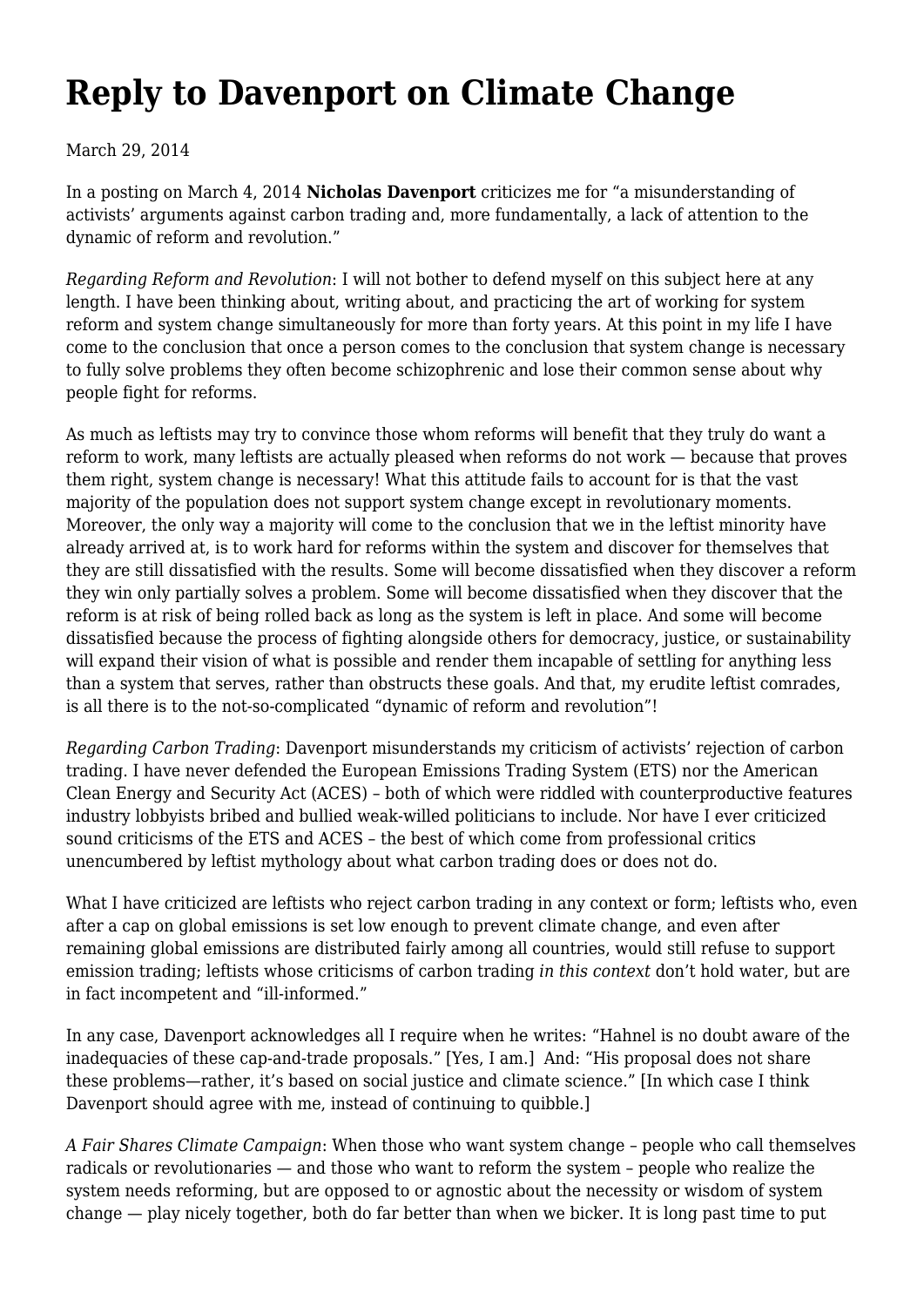## **[Reply to Davenport on Climate Change](https://newpol.org/reply-davenport-climate-change/)**

## March 29, 2014

In a posting on March 4, 2014 **[Nicholas Davenport](http://newpol.orgresponse-robin-hahnels-open-letter-movement)** criticizes me for "a misunderstanding of activists' arguments against carbon trading and, more fundamentally, a lack of attention to the dynamic of reform and revolution."

*Regarding Reform and Revolution*: I will not bother to defend myself on this subject here at any length. I have been thinking about, writing about, and practicing the art of working for system reform and system change simultaneously for more than forty years. At this point in my life I have come to the conclusion that once a person comes to the conclusion that system change is necessary to fully solve problems they often become schizophrenic and lose their common sense about why people fight for reforms.

As much as leftists may try to convince those whom reforms will benefit that they truly do want a reform to work, many leftists are actually pleased when reforms do not work — because that proves them right, system change is necessary! What this attitude fails to account for is that the vast majority of the population does not support system change except in revolutionary moments. Moreover, the only way a majority will come to the conclusion that we in the leftist minority have already arrived at, is to work hard for reforms within the system and discover for themselves that they are still dissatisfied with the results. Some will become dissatisfied when they discover a reform they win only partially solves a problem. Some will become dissatisfied when they discover that the reform is at risk of being rolled back as long as the system is left in place. And some will become dissatisfied because the process of fighting alongside others for democracy, justice, or sustainability will expand their vision of what is possible and render them incapable of settling for anything less than a system that serves, rather than obstructs these goals. And that, my erudite leftist comrades, is all there is to the not-so-complicated "dynamic of reform and revolution"!

*Regarding Carbon Trading*: Davenport misunderstands my criticism of activists' rejection of carbon trading. I have never defended the European Emissions Trading System (ETS) nor the American Clean Energy and Security Act (ACES) – both of which were riddled with counterproductive features industry lobbyists bribed and bullied weak-willed politicians to include. Nor have I ever criticized sound criticisms of the ETS and ACES – the best of which come from professional critics unencumbered by leftist mythology about what carbon trading does or does not do.

What I have criticized are leftists who reject carbon trading in any context or form; leftists who, even after a cap on global emissions is set low enough to prevent climate change, and even after remaining global emissions are distributed fairly among all countries, would still refuse to support emission trading; leftists whose criticisms of carbon trading *in this context* don't hold water, but are in fact incompetent and "ill-informed."

In any case, Davenport acknowledges all I require when he writes: "Hahnel is no doubt aware of the inadequacies of these cap-and-trade proposals." [Yes, I am.] And: "His proposal does not share these problems—rather, it's based on social justice and climate science." [In which case I think Davenport should agree with me, instead of continuing to quibble.]

*A Fair Shares Climate Campaign*: When those who want system change – people who call themselves radicals or revolutionaries — and those who want to reform the system – people who realize the system needs reforming, but are opposed to or agnostic about the necessity or wisdom of system change — play nicely together, both do far better than when we bicker. It is long past time to put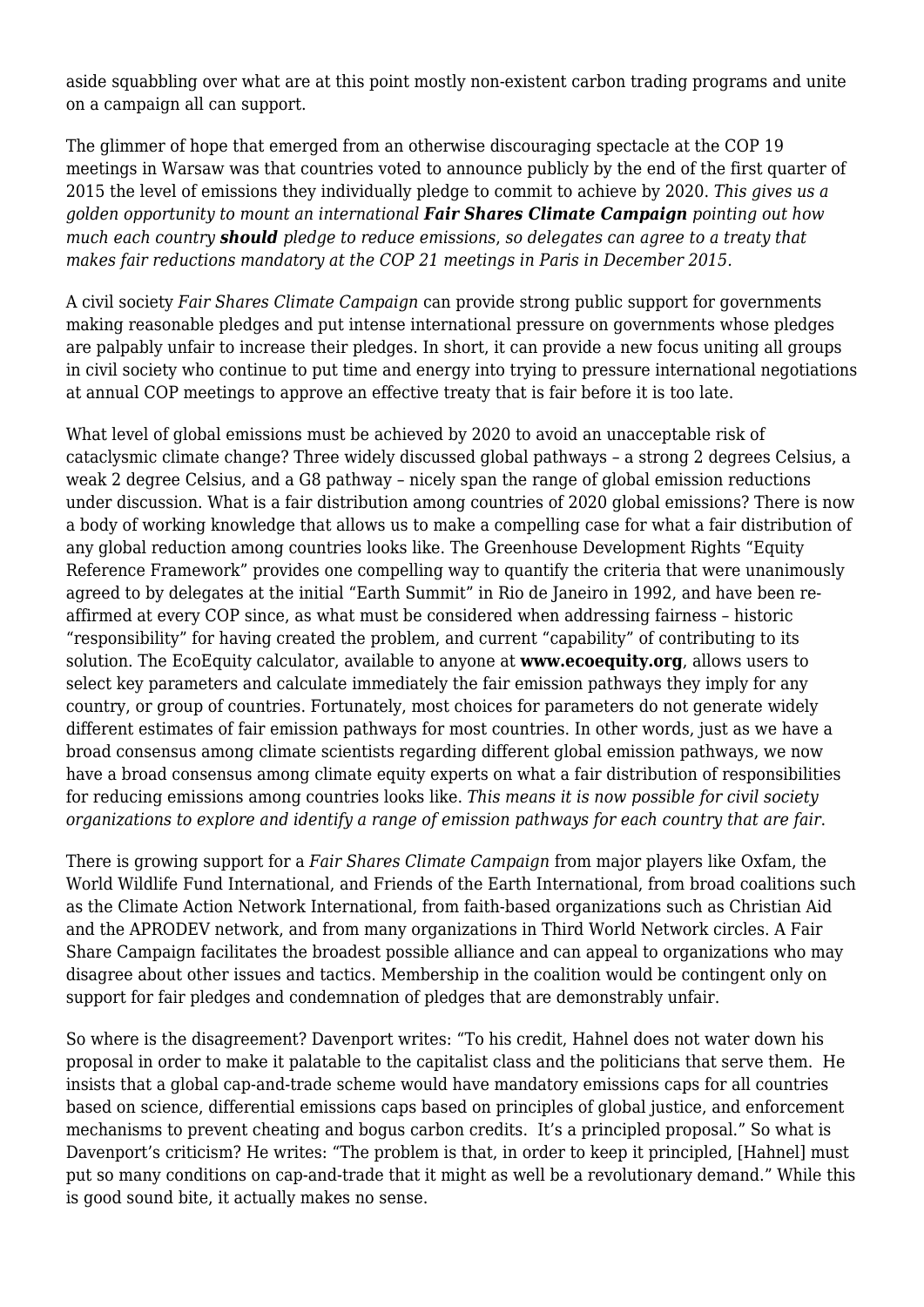aside squabbling over what are at this point mostly non-existent carbon trading programs and unite on a campaign all can support.

The glimmer of hope that emerged from an otherwise discouraging spectacle at the COP 19 meetings in Warsaw was that countries voted to announce publicly by the end of the first quarter of 2015 the level of emissions they individually pledge to commit to achieve by 2020. *This gives us a golden opportunity to mount an international Fair Shares Climate Campaign pointing out how much each country should pledge to reduce emissions*, *so delegates can agree to a treaty that makes fair reductions mandatory at the COP 21 meetings in Paris in December 2015.*

A civil society *Fair Shares Climate Campaign* can provide strong public support for governments making reasonable pledges and put intense international pressure on governments whose pledges are palpably unfair to increase their pledges. In short, it can provide a new focus uniting all groups in civil society who continue to put time and energy into trying to pressure international negotiations at annual COP meetings to approve an effective treaty that is fair before it is too late.

What level of global emissions must be achieved by 2020 to avoid an unacceptable risk of cataclysmic climate change? Three widely discussed global pathways – a strong 2 degrees Celsius, a weak 2 degree Celsius, and a G8 pathway – nicely span the range of global emission reductions under discussion. What is a fair distribution among countries of 2020 global emissions? There is now a body of working knowledge that allows us to make a compelling case for what a fair distribution of any global reduction among countries looks like. The Greenhouse Development Rights "Equity Reference Framework" provides one compelling way to quantify the criteria that were unanimously agreed to by delegates at the initial "Earth Summit" in Rio de Janeiro in 1992, and have been reaffirmed at every COP since, as what must be considered when addressing fairness – historic "responsibility" for having created the problem, and current "capability" of contributing to its solution. The EcoEquity calculator, available to anyone at **[www.ecoequity.org](http://www.ecoequity.org)**, allows users to select key parameters and calculate immediately the fair emission pathways they imply for any country, or group of countries. Fortunately, most choices for parameters do not generate widely different estimates of fair emission pathways for most countries. In other words, just as we have a broad consensus among climate scientists regarding different global emission pathways, we now have a broad consensus among climate equity experts on what a fair distribution of responsibilities for reducing emissions among countries looks like. *This means it is now possible for civil society organizations to explore and identify a range of emission pathways for each country that are fair*.

There is growing support for a *Fair Shares Climate Campaign* from major players like Oxfam, the World Wildlife Fund International, and Friends of the Earth International, from broad coalitions such as the Climate Action Network International, from faith-based organizations such as Christian Aid and the APRODEV network, and from many organizations in Third World Network circles. A Fair Share Campaign facilitates the broadest possible alliance and can appeal to organizations who may disagree about other issues and tactics. Membership in the coalition would be contingent only on support for fair pledges and condemnation of pledges that are demonstrably unfair.

So where is the disagreement? Davenport writes: "To his credit, Hahnel does not water down his proposal in order to make it palatable to the capitalist class and the politicians that serve them. He insists that a global cap-and-trade scheme would have mandatory emissions caps for all countries based on science, differential emissions caps based on principles of global justice, and enforcement mechanisms to prevent cheating and bogus carbon credits. It's a principled proposal." So what is Davenport's criticism? He writes: "The problem is that, in order to keep it principled, [Hahnel] must put so many conditions on cap-and-trade that it might as well be a revolutionary demand." While this is good sound bite, it actually makes no sense.